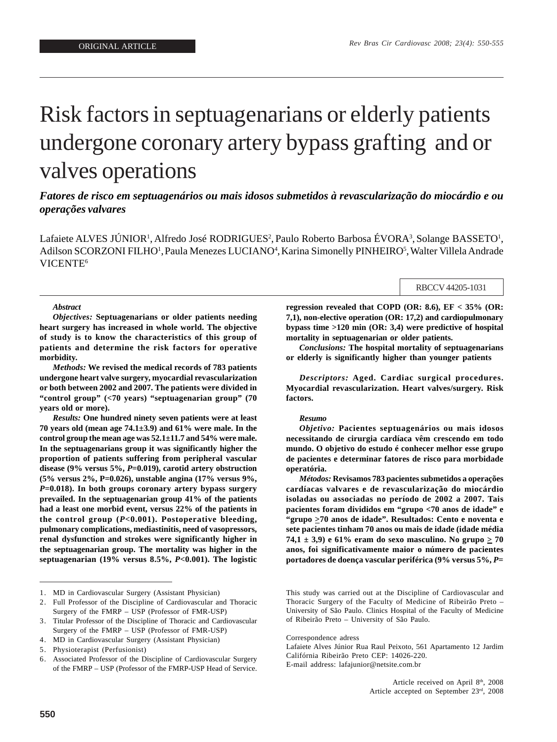# Risk factors in septuagenarians or elderly patients undergone coronary artery bypass grafting and or valves operations

## *Fatores de risco em septuagenários ou mais idosos submetidos à revascularização do miocárdio e ou operações valvares*

Lafaiete ALVES JÚNIOR<sup>1</sup>, Alfredo José RODRIGUES<sup>2</sup>, Paulo Roberto Barbosa ÉVORA<sup>3</sup>, Solange BASSETO<sup>1</sup>, Adilson SCORZONI FILHO<sup>1</sup>, Paula Menezes LUCIANO<sup>4</sup>, Karina Simonelly PINHEIRO<sup>5</sup>, Walter Villela Andrade VICENTE6

#### RBCCV 44205-1031

## *Abstract*

*Objectives:* **Septuagenarians or older patients needing heart surgery has increased in whole world. The objective of study is to know the characteristics of this group of patients and determine the risk factors for operative morbidity.**

*Methods:* **We revised the medical records of 783 patients undergone heart valve surgery, myocardial revascularization or both between 2002 and 2007. The patients were divided in "control group" (<70 years) "septuagenarian group" (70 years old or more).**

*Results:* **One hundred ninety seven patients were at least 70 years old (mean age 74.1±3.9) and 61% were male. In the control group the mean age was 52.1±11.7 and 54% were male. In the septuagenarians group it was significantly higher the proportion of patients suffering from peripheral vascular disease (9% versus 5%,** *P***=0.019), carotid artery obstruction (5% versus 2%, P=0.026), unstable angina (17% versus 9%,** *P***=0.018). In both groups coronary artery bypass surgery prevailed. In the septuagenarian group 41% of the patients had a least one morbid event, versus 22% of the patients in the control group (***P***<0.001). Postoperative bleeding, pulmonary complications, mediastinitis, need of vasopressors, renal dysfunction and strokes were significantly higher in the septuagenarian group. The mortality was higher in the septuagenarian (19% versus 8.5%,** *P***<0.001). The logistic** **regression revealed that COPD (OR: 8.6), EF < 35% (OR: 7,1), non-elective operation (OR: 17,2) and cardiopulmonary bypass time >120 min (OR: 3,4) were predictive of hospital mortality in septuagenarian or older patients.**

*Conclusions:* **The hospital mortality of septuagenarians or elderly is significantly higher than younger patients**

*Descriptors:* **Aged. Cardiac surgical procedures. Myocardial revascularization. Heart valves/surgery. Risk factors.**

#### *Resumo*

*Objetivo:* **Pacientes septuagenários ou mais idosos necessitando de cirurgia cardíaca vêm crescendo em todo mundo. O objetivo do estudo é conhecer melhor esse grupo de pacientes e determinar fatores de risco para morbidade operatória.**

*Métodos:* **Revisamos 783 pacientes submetidos a operações cardíacas valvares e de revascularização do miocárdio isoladas ou associadas no período de 2002 a 2007. Tais pacientes foram divididos em "grupo <70 anos de idade" e "grupo >70 anos de idade". Resultados: Cento e noventa e sete pacientes tinham 70 anos ou mais de idade (idade média 74,1**  $\pm$  3,9) e 61% eram do sexo masculino. No grupo  $\geq$  70 **anos, foi significativamente maior o número de pacientes portadores de doença vascular periférica (9% versus 5%,** *P***=**

<sup>1.</sup> MD in Cardiovascular Surgery (Assistant Physician)

<sup>2.</sup> Full Professor of the Discipline of Cardiovascular and Thoracic Surgery of the FMRP – USP (Professor of FMR-USP)

<sup>3.</sup> Titular Professor of the Discipline of Thoracic and Cardiovascular Surgery of the FMRP – USP (Professor of FMR-USP)

<sup>4.</sup> MD in Cardiovascular Surgery (Assistant Physician)

<sup>5.</sup> Physioterapist (Perfusionist)

<sup>6.</sup> Associated Professor of the Discipline of Cardiovascular Surgery of the FMRP – USP (Professor of the FMRP-USP Head of Service.

This study was carried out at the Discipline of Cardiovascular and Thoracic Surgery of the Faculty of Medicine of Ribeirão Preto – University of São Paulo. Clinics Hospital of the Faculty of Medicine of Ribeirão Preto – University of São Paulo.

Correspondence adress

Lafaiete Alves Júnior Rua Raul Peixoto, 561 Apartamento 12 Jardim Califórnia Ribeirão Preto CEP: 14026-220. E-mail address: lafajunior@netsite.com.br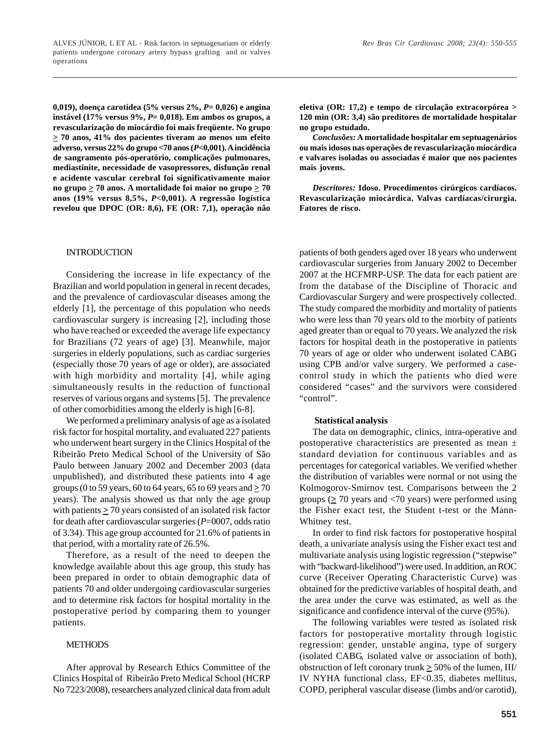ALVES JÚNIOR, L ET AL - Risk factors in septuagenarians or elderly patients undergone coronary artery bypass grafting and or valves operations

**0,019), doença carotídea (5% versus 2%,** *P***= 0,026) e angina instável (17% versus 9%,** *P***= 0,018). Em ambos os grupos, a revascularização do miocárdio foi mais freqüente. No grupo > 70 anos, 41% dos pacientes tiveram ao menos um efeito adverso, versus 22% do grupo <70 anos (***P***<0,001). A incidência de sangramento pós-operatório, complicações pulmonares, mediastinite, necessidade de vasopressores, disfunção renal e acidente vascular cerebral foi significativamente maior** no grupo  $\geq 70$  anos. A mortalidade foi maior no grupo  $\geq 70$ **anos (19% versus 8,5%,** *P***<0,001). A regressão logística revelou que DPOC (OR: 8,6), FE (OR: 7,1), operação não**

### INTRODUCTION

Considering the increase in life expectancy of the Brazilian and world population in general in recent decades, and the prevalence of cardiovascular diseases among the elderly [1], the percentage of this population who needs cardiovascular surgery is increasing [2], including those who have reached or exceeded the average life expectancy for Brazilians (72 years of age) [3]. Meanwhile, major surgeries in elderly populations, such as cardiac surgeries (especially those 70 years of age or older), are associated with high morbidity and mortality [4], while aging simultaneously results in the reduction of functional reserves of various organs and systems [5]. The prevalence of other comorbidities among the elderly is high [6-8].

We performed a preliminary analysis of age as a isolated risk factor for hospital mortality, and evaluated 227 patients who underwent heart surgery in the Clinics Hospital of the Ribeirão Preto Medical School of the University of São Paulo between January 2002 and December 2003 (data unpublished), and distributed these patients into 4 age groups (0 to 59 years, 60 to 64 years, 65 to 69 years and **>** 70 years). The analysis showed us that only the age group with patients  $\geq$  70 years consisted of an isolated risk factor for death after cardiovascular surgeries (*P*=0007, odds ratio of 3.34). This age group accounted for 21.6% of patients in that period, with a mortality rate of 26.5%.

Therefore, as a result of the need to deepen the knowledge available about this age group, this study has been prepared in order to obtain demographic data of patients 70 and older undergoing cardiovascular surgeries and to determine risk factors for hospital mortality in the postoperative period by comparing them to younger patients.

### **METHODS**

After approval by Research Ethics Committee of the Clinics Hospital of Ribeirão Preto Medical School (HCRP No 7223/2008), researchers analyzed clinical data from adult **eletiva (OR: 17,2) e tempo de circulação extracorpórea > 120 min (OR: 3,4) são preditores de mortalidade hospitalar no grupo estudado.**

*Conclusões:* **A mortalidade hospitalar em septuagenários ou mais idosos nas operações de revascularização miocárdica e valvares isoladas ou associadas é maior que nos pacientes mais jovens.**

*Descritores:* **Idoso. Procedimentos cirúrgicos cardíacos. Revascularização miocárdica. Valvas cardíacas/cirurgia. Fatores de risco.**

patients of both genders aged over 18 years who underwent cardiovascular surgeries from January 2002 to December 2007 at the HCFMRP-USP. The data for each patient are from the database of the Discipline of Thoracic and Cardiovascular Surgery and were prospectively collected. The study compared the morbidity and mortality of patients who were less than 70 years old to the morbity of patients aged greater than or equal to 70 years. We analyzed the risk factors for hospital death in the postoperative in patients 70 years of age or older who underwent isolated CABG using CPB and/or valve surgery. We performed a casecontrol study in which the patients who died were considered "cases" and the survivors were considered "control".

## **Statistical analysis**

The data on demographic, clinics, intra-operative and postoperative characteristics are presented as mean  $\pm$ standard deviation for continuous variables and as percentages for categorical variables. We verified whether the distribution of variables were normal or not using the Kolmogorov-Smirnov test. Comparisons between the 2 groups (**>** 70 years and <70 years) were performed using the Fisher exact test, the Student t-test or the Mann-Whitney test.

In order to find risk factors for postoperative hospital death, a univariate analysis using the Fisher exact test and multivariate analysis using logistic regression ("stepwise" with "backward-likelihood") were used. In addition, an ROC curve (Receiver Operating Characteristic Curve) was obtained for the predictive variables of hospital death, and the area under the curve was estimated, as well as the significance and confidence interval of the curve (95%).

The following variables were tested as isolated risk factors for postoperative mortality through logistic regression: gender, unstable angina, type of surgery (isolated CABG, isolated valve or association of both), obstruction of left coronary trunk  $\geq$  50% of the lumen, III/ IV NYHA functional class, EF<0.35, diabetes mellitus, COPD, peripheral vascular disease (limbs and/or carotid),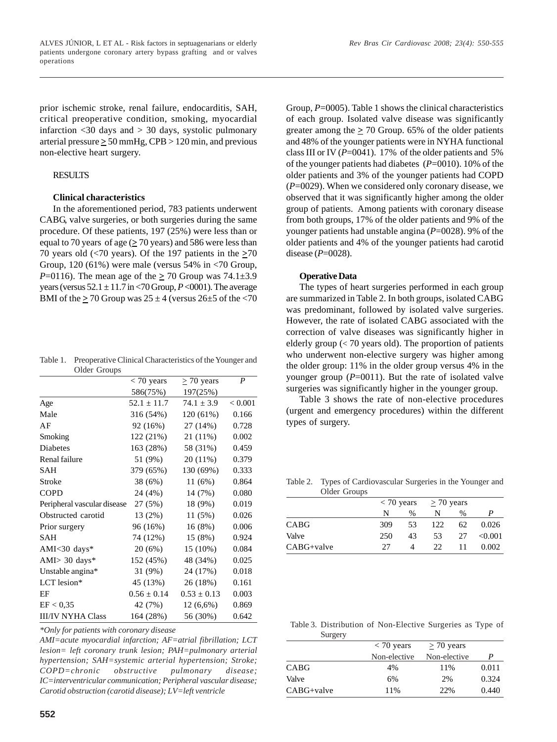prior ischemic stroke, renal failure, endocarditis, SAH, critical preoperative condition, smoking, myocardial infarction <30 days and > 30 days, systolic pulmonary arterial pressure  $\geq 50$  mmHg, CPB  $> 120$  min, and previous non-elective heart surgery.

## **RESULTS**

## **Clinical characteristics**

In the aforementioned period, 783 patients underwent CABG, valve surgeries, or both surgeries during the same procedure. Of these patients, 197 (25%) were less than or equal to 70 years of age (**>** 70 years) and 586 were less than 70 years old ( $\leq$ 70 years). Of the 197 patients in the  $\geq$ 70 Group, 120 (61%) were male (versus 54% in <70 Group, *P*=0116). The mean age of the  $\geq$  70 Group was 74.1 $\pm$ 3.9 years (versus  $52.1 \pm 11.7$  in  $\lt 70$  Group,  $P \lt 0001$ ). The average BMI of the  $\geq$  70 Group was 25  $\pm$  4 (versus 26 $\pm$ 5 of the <70

| Table 1. Preoperative Clinical Characteristics of the Younger and |
|-------------------------------------------------------------------|
| Older Groups                                                      |

| ORANI OTORPO                |                 |                 |                  |
|-----------------------------|-----------------|-----------------|------------------|
|                             | $<$ 70 years    | $\geq 70$ years | $\boldsymbol{P}$ |
|                             | 586(75%)        | 197(25%)        |                  |
| Age                         | $52.1 \pm 11.7$ | $74.1 \pm 3.9$  | < 0.001          |
| Male                        | 316 (54%)       | 120 (61%)       | 0.166            |
| AF                          | 92 (16%)        | 27 (14%)        | 0.728            |
| Smoking                     | 122 (21%)       | 21 (11%)        | 0.002            |
| Diabetes                    | 163 (28%)       | 58 (31%)        | 0.459            |
| Renal failure               | 51 (9%)         | $20(11\%)$      | 0.379            |
| SAH                         | 379 (65%)       | 130 (69%)       | 0.333            |
| Stroke                      | 38 (6%)         | 11(6%)          | 0.864            |
| <b>COPD</b>                 | 24 (4%)         | 14 (7%)         | 0.080            |
| Peripheral vascular disease | 27 (5%)         | 18 (9%)         | 0.019            |
| Obstructed carotid          | 13 (2%)         | 11(5%)          | 0.026            |
| Prior surgery               | 96 (16%)        | 16(8%)          | 0.006            |
| SAH                         | 74 (12%)        | 15 (8%)         | 0.924            |
| AMI<30 days*                | 20 (6%)         | $15(10\%)$      | 0.084            |
| AMI $>$ 30 days*            | 152 (45%)       | 48 (34%)        | 0.025            |
| Unstable angina*            | 31 (9%)         | 24 (17%)        | 0.018            |
| LCT lesion*                 | 45 (13%)        | 26 (18%)        | 0.161            |
| EF                          | $0.56 \pm 0.14$ | $0.53 \pm 0.13$ | 0.003            |
| EF < 0.35                   | 42 (7%)         | $12(6,6\%)$     | 0.869            |
| <b>III/IV NYHA Class</b>    | 164 (28%)       | 56 (30%)        | 0.642            |
|                             |                 |                 |                  |

*\*Only for patients with coronary disease*

*AMI=acute myocardial infarction; AF=atrial fibrillation; LCT lesion= left coronary trunk lesion; PAH=pulmonary arterial hypertension; SAH=systemic arterial hypertension; Stroke; COPD=chronic obstructive pulmonary disease; IC=interventricular communication; Peripheral vascular disease; Carotid obstruction (carotid disease); LV=left ventricle*

Group, *P*=0005). Table 1 shows the clinical characteristics of each group. Isolated valve disease was significantly greater among the  $\geq$  70 Group. 65% of the older patients and 48% of the younger patients were in NYHA functional class III or IV (P=0041). 17% of the older patients and 5% of the younger patients had diabetes (*P*=0010). 10% of the older patients and 3% of the younger patients had COPD (*P*=0029). When we considered only coronary disease, we observed that it was significantly higher among the older group of patients. Among patients with coronary disease from both groups, 17% of the older patients and 9% of the younger patients had unstable angina (*P*=0028). 9% of the older patients and 4% of the younger patients had carotid disease (*P*=0028).

## **Operative Data**

The types of heart surgeries performed in each group are summarized in Table 2. In both groups, isolated CABG was predominant, followed by isolated valve surgeries. However, the rate of isolated CABG associated with the correction of valve diseases was significantly higher in elderly group  $\left($  < 70 years old). The proportion of patients who underwent non-elective surgery was higher among the older group: 11% in the older group versus 4% in the younger group  $(P=0011)$ . But the rate of isolated valve surgeries was significantly higher in the younger group.

Table 3 shows the rate of non-elective procedures (urgent and emergency procedures) within the different types of surgery.

Table 2. Types of Cardiovascular Surgeries in the Younger and Older Groups

|            |     | $<$ 70 years |     | $>$ 70 years |         |
|------------|-----|--------------|-----|--------------|---------|
|            | N   | $\%$         | N   | %            |         |
| CABG       | 309 | 53           | 122 | 62           | 0.026   |
| Valve      | 250 | 43           | 53  | 27           | < 0.001 |
| CABG+valve | 27  | Δ            | 22  | 11           | 0.002   |

 Table 3. Distribution of Non-Elective Surgeries as Type of **Surgery** 

| 54.54       |              |                 |       |
|-------------|--------------|-----------------|-------|
|             | $<$ 70 years | $\geq 70$ years |       |
|             | Non-elective | Non-elective    | P     |
| <b>CABG</b> | 4%           | 11%             | 0.011 |
| Valve       | 6%           | 2%              | 0.324 |
| CABG+valve  | 11%          | 22%             | 0.440 |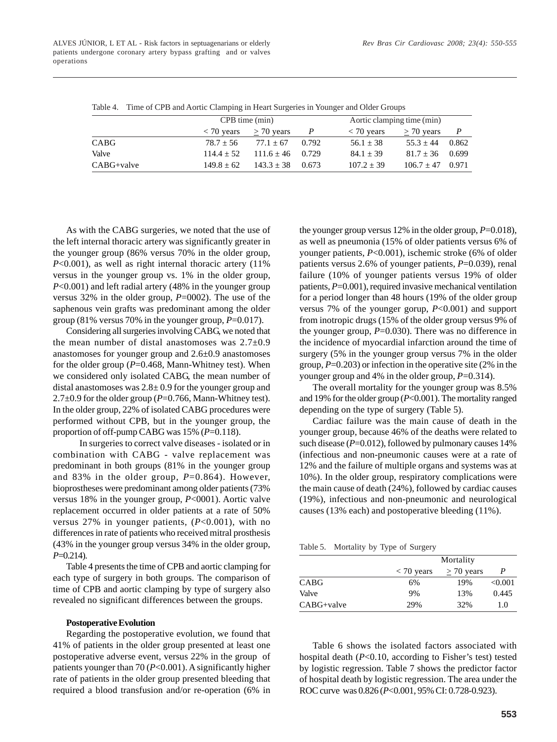|              |                | CPB time (min)                                |              | Aortic clamping time (min) |                |       |  |
|--------------|----------------|-----------------------------------------------|--------------|----------------------------|----------------|-------|--|
|              |                | $\langle 70 \text{ years} \rangle$ > 70 years | $\mathbf{P}$ | $<$ 70 years               | $>$ 70 years   |       |  |
| CABG         | $78.7 + 56$    | $77.1 + 67$                                   | 0.792        | $56.1 + 38$                | $55.3 + 44$    | 0.862 |  |
| Valve        | $114.4 + 52$   | $111.6 + 46$ 0.729                            |              | $84.1 \pm 39$              | $81.7 \pm 36$  | 0.699 |  |
| $CABG+value$ | $149.8 \pm 62$ | $143.3 \pm 38$                                | 0.673        | $107.2 + 39$               | $106.7 \pm 47$ | 0.971 |  |

Table 4. Time of CPB and Aortic Clamping in Heart Surgeries in Younger and Older Groups

As with the CABG surgeries, we noted that the use of the left internal thoracic artery was significantly greater in the younger group (86% versus 70% in the older group, *P*<0.001), as well as right internal thoracic artery (11%) versus in the younger group vs. 1% in the older group, *P*<0.001) and left radial artery (48% in the younger group versus 32% in the older group, *P*=0002). The use of the saphenous vein grafts was predominant among the older group (81% versus 70% in the younger group,  $P=0.017$ ).

Considering all surgeries involving CABG, we noted that the mean number of distal anastomoses was 2.7±0.9 anastomoses for younger group and 2.6±0.9 anastomoses for the older group (*P*=0.468, Mann-Whitney test). When we considered only isolated CABG, the mean number of distal anastomoses was  $2.8 \pm 0.9$  for the younger group and 2.7±0.9 for the older group (*P*=0.766, Mann-Whitney test). In the older group, 22% of isolated CABG procedures were performed without CPB, but in the younger group, the proportion of off-pump CABG was 15% (*P*=0.118).

In surgeries to correct valve diseases - isolated or in combination with CABG - valve replacement was predominant in both groups (81% in the younger group and 83% in the older group, *P*=0.864). However, bioprostheses were predominant among older patients (73% versus 18% in the younger group, *P*<0001). Aortic valve replacement occurred in older patients at a rate of 50% versus 27% in younger patients, (*P*<0.001), with no differences in rate of patients who received mitral prosthesis (43% in the younger group versus 34% in the older group, *P*=0.214).

Table 4 presents the time of CPB and aortic clamping for each type of surgery in both groups. The comparison of time of CPB and aortic clamping by type of surgery also revealed no significant differences between the groups.

#### **Postoperative Evolution**

Regarding the postoperative evolution, we found that 41% of patients in the older group presented at least one postoperative adverse event, versus 22% in the group of patients younger than 70 (*P*<0.001). A significantly higher rate of patients in the older group presented bleeding that required a blood transfusion and/or re-operation (6% in

the younger group versus 12% in the older group,  $P=0.018$ ), as well as pneumonia (15% of older patients versus 6% of younger patients,  $P<0.001$ ), ischemic stroke (6% of older patients versus 2.6% of younger patients, *P*=0.039), renal failure (10% of younger patients versus 19% of older patients,  $P=0.001$ ), required invasive mechanical ventilation for a period longer than 48 hours (19% of the older group versus 7% of the younger gorup, *P*<0.001) and support from inotropic drugs (15% of the older group versus 9% of the younger group,  $P=0.030$ ). There was no difference in the incidence of myocardial infarction around the time of surgery (5% in the younger group versus 7% in the older group, *P*=0.203) or infection in the operative site (2% in the younger group and 4% in the older group, *P*=0.314).

The overall mortality for the younger group was 8.5% and 19% for the older group (*P*<0.001). The mortality ranged depending on the type of surgery (Table 5).

Cardiac failure was the main cause of death in the younger group, because 46% of the deaths were related to such disease  $(P=0.012)$ , followed by pulmonary causes 14% (infectious and non-pneumonic causes were at a rate of 12% and the failure of multiple organs and systems was at 10%). In the older group, respiratory complications were the main cause of death (24%), followed by cardiac causes (19%), infectious and non-pneumonic and neurological causes (13% each) and postoperative bleeding (11%).

Table 5. Mortality by Type of Surgery

|              |              | Mortality       |         |
|--------------|--------------|-----------------|---------|
|              | $< 70$ years | $\geq 70$ years | P       |
| <b>CABG</b>  | 6%           | 19%             | < 0.001 |
| Valve        | 9%           | 13%             | 0.445   |
| $CABG+value$ | 29%          | 32%             | 1.0     |

Table 6 shows the isolated factors associated with hospital death (*P*<0.10, according to Fisher's test) tested by logistic regression. Table 7 shows the predictor factor of hospital death by logistic regression. The area under the ROC curve was 0.826 (*P*<0.001, 95% CI: 0.728-0.923).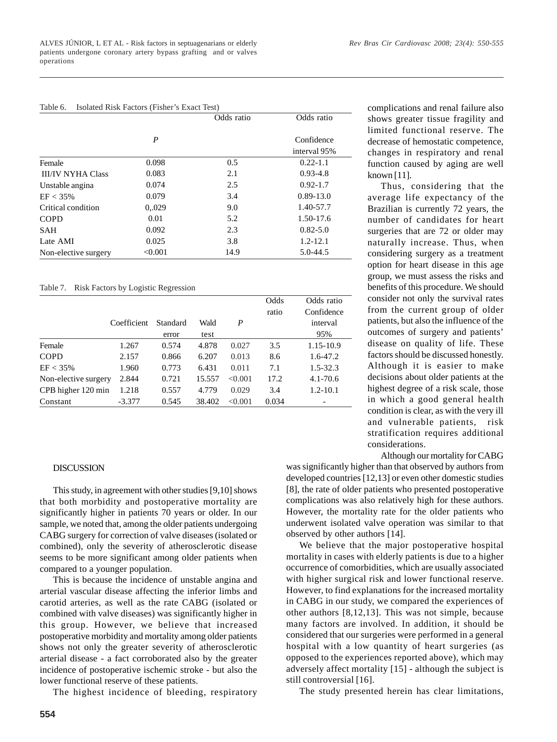$T_{\rm eff}$   $\leq$   $T_{\rm eff}$  is  $T_{\rm eff}$   $\leq$   $T_{\rm eff}$   $\leq$   $T_{\rm eff}$   $\leq$   $T_{\rm eff}$   $\leq$ 

| Table 0.                 | ISOIALED KISK PACIOIS (PISHEL'S EXACT TEST) |            |               |
|--------------------------|---------------------------------------------|------------|---------------|
|                          |                                             | Odds ratio | Odds ratio    |
|                          |                                             |            |               |
|                          | P                                           |            | Confidence    |
|                          |                                             |            | interval 95%  |
| Female                   | 0.098                                       | 0.5        | $0.22 - 1.1$  |
| <b>III/IV NYHA Class</b> | 0.083                                       | 2.1        | $0.93 - 4.8$  |
| Unstable angina          | 0.074                                       | 2.5        | $0.92 - 1.7$  |
| $EF < 35\%$              | 0.079                                       | 3.4        | $0.89 - 13.0$ |
| Critical condition       | 0.029                                       | 9.0        | 1.40-57.7     |
| <b>COPD</b>              | 0.01                                        | 5.2        | 1.50-17.6     |
| <b>SAH</b>               | 0.092                                       | 2.3        | $0.82 - 5.0$  |
| Late AMI                 | 0.025                                       | 3.8        | $1.2 - 12.1$  |
| Non-elective surgery     | < 0.001                                     | 14.9       | 5.0-44.5      |

## Table 7. Risk Factors by Logistic Regression

|                      |             |          |        |         | Odds  | Odds ratio   |
|----------------------|-------------|----------|--------|---------|-------|--------------|
|                      |             |          |        |         | ratio | Confidence   |
|                      | Coefficient | Standard | Wald   | P       |       | interval     |
|                      |             | error    | test   |         |       | 95%          |
| Female               | 1.267       | 0.574    | 4.878  | 0.027   | 3.5   | 1.15-10.9    |
| <b>COPD</b>          | 2.157       | 0.866    | 6.207  | 0.013   | 8.6   | $1.6 - 47.2$ |
| $EF < 35\%$          | 1.960       | 0.773    | 6.431  | 0.011   | 7.1   | $1.5 - 32.3$ |
| Non-elective surgery | 2.844       | 0.721    | 15.557 | < 0.001 | 17.2  | $4.1 - 70.6$ |
| CPB higher 120 min   | 1.218       | 0.557    | 4.779  | 0.029   | 3.4   | $1.2 - 10.1$ |
| Constant             | $-3.377$    | 0.545    | 38.402 | < 0.001 | 0.034 |              |

#### DISCUSSION

This study, in agreement with other studies [9,10] shows that both morbidity and postoperative mortality are significantly higher in patients 70 years or older. In our sample, we noted that, among the older patients undergoing CABG surgery for correction of valve diseases (isolated or combined), only the severity of atherosclerotic disease seems to be more significant among older patients when compared to a younger population.

This is because the incidence of unstable angina and arterial vascular disease affecting the inferior limbs and carotid arteries, as well as the rate CABG (isolated or combined with valve diseases) was significantly higher in this group. However, we believe that increased postoperative morbidity and mortality among older patients shows not only the greater severity of atherosclerotic arterial disease - a fact corroborated also by the greater incidence of postoperative ischemic stroke - but also the lower functional reserve of these patients.

The highest incidence of bleeding, respiratory

complications and renal failure also shows greater tissue fragility and limited functional reserve. The decrease of hemostatic competence, changes in respiratory and renal function caused by aging are well known [11].

Thus, considering that the average life expectancy of the Brazilian is currently 72 years, the number of candidates for heart surgeries that are 72 or older may naturally increase. Thus, when considering surgery as a treatment option for heart disease in this age group, we must assess the risks and benefits of this procedure. We should consider not only the survival rates from the current group of older patients, but also the influence of the outcomes of surgery and patients' disease on quality of life. These factors should be discussed honestly. Although it is easier to make decisions about older patients at the highest degree of a risk scale, those in which a good general health condition is clear, as with the very ill and vulnerable patients, risk stratification requires additional considerations.

Although our mortality for CABG

was significantly higher than that observed by authors from developed countries [12,13] or even other domestic studies [8], the rate of older patients who presented postoperative complications was also relatively high for these authors. However, the mortality rate for the older patients who underwent isolated valve operation was similar to that observed by other authors [14].

We believe that the major postoperative hospital mortality in cases with elderly patients is due to a higher occurrence of comorbidities, which are usually associated with higher surgical risk and lower functional reserve. However, to find explanations for the increased mortality in CABG in our study, we compared the experiences of other authors [8,12,13]. This was not simple, because many factors are involved. In addition, it should be considered that our surgeries were performed in a general hospital with a low quantity of heart surgeries (as opposed to the experiences reported above), which may adversely affect mortality [15] - although the subject is still controversial [16].

The study presented herein has clear limitations,